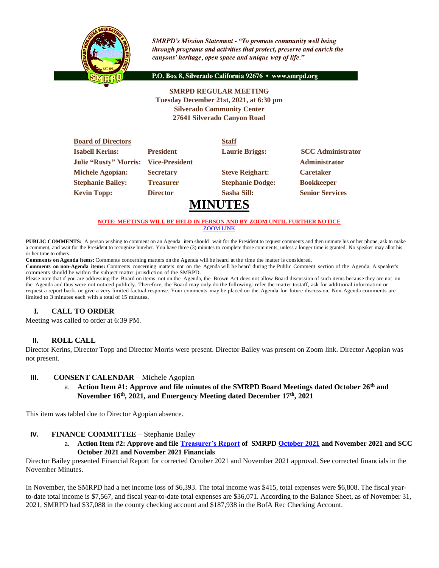

**SMRPD's Mission Statement - "To promote community well being** through programs and activities that protect, preserve and enrich the canyons' heritage, open space and unique way of life."

P.O. Box 8, Silverado California 92676 · www.smrpd.org

### **SMRPD REGULAR MEETING Tuesday December 21st, 2021, at 6:30 pm Silverado Community Center 27641 Silverado Canyon Road**

| <b>Board of Directors</b>    |                       | <b>Staff</b>            |                          |
|------------------------------|-----------------------|-------------------------|--------------------------|
| <b>Isabell Kerins:</b>       | <b>President</b>      | <b>Laurie Briggs:</b>   | <b>SCC</b> Administrator |
| <b>Julie "Rusty" Morris:</b> | <b>Vice-President</b> |                         | <b>Administrator</b>     |
| <b>Michele Agopian:</b>      | <b>Secretary</b>      | <b>Steve Reighart:</b>  | <b>Caretaker</b>         |
| <b>Stephanie Bailey:</b>     | <b>Treasurer</b>      | <b>Stephanie Dodge:</b> | <b>Bookkeeper</b>        |
| <b>Kevin Topp:</b>           | <b>Director</b>       | <b>Sasha Sill:</b>      | <b>Senior Services</b>   |
|                              |                       | <b>MINUTES</b>          |                          |

#### **NOTE: MEETINGS WILL BE HELD IN PERSON AND BY ZOOM UNTIL FURTHER NOTICE** [ZOOM LINK](https://zoom.us/j/99049794367)

**PUBLIC COMMENTS:** A person wishing to comment on an Agenda item should wait for the President to request comments and then unmute his or her phone, ask to make a comment, and wait for the President to recognize him/her. You have three (3) minutes to complete those comments, unless a longer time is granted. No speaker may allot his or her time to others.

**Comments on Agenda items:** Comments concerning matters on the Agenda will be heard at the time the matter is considered.

**Comments on non-Agenda items:** Comments concerning matters not on the Agenda will be heard during the Public Comment section of the Agenda. A speaker's comments should be within the subject matter jurisdiction of the SMRPD.

Please note that if you are addressing the Board on items not on the Agenda, the Brown Act does not allow Board discussion of such items because they are not on the Agenda and thus were not noticed publicly. Therefore, the Board may only do the following: refer the matter tostaff, ask for additional information or request a report back, or give a very limited factual response. Your comments may be placed on the Agenda for future discussion. Non-Agenda comments are limited to 3 minutes each with a total of 15 minutes.

### **I. CALL TO ORDER**

Meeting was called to order at 6:39 PM.

### **II. ROLL CALL**

Director Kerins, Director Topp and Director Morris were present. Director Bailey was present on Zoom link. Director Agopian was not present.

#### **III. CONSENT CALENDAR** – Michele Agopian

a. **Action Item #1: Approve and file minutes of the SMRPD Board Meetings dated October 26th and November 16th, 2021, and Emergency Meeting dated December 17th, 2021**

This item was tabled due to Director Agopian absence.

### **IV. FINANCE COMMITTEE** – Stephanie Bailey

a. **Action Item #2: Approve and file [Treasurer's Report](https://onedrive.live.com/edit.aspx?cid=05fd6c022b2ace7f&page=view&resid=5FD6C022B2ACE7F!2854&parId=5FD6C022B2ACE7F!2850&app=Word) of SMRPD [October 2021](https://onedrive.live.com/edit.aspx?cid=05fd6c022b2ace7f&page=view&resid=5FD6C022B2ACE7F!2828&parId=5FD6C022B2ACE7F!2607&app=Word) and November 2021 and SCC October 2021 and November 2021 Financials**

Director Bailey presented Financial Report for corrected October 2021 and November 2021 approval. See corrected financials in the November Minutes.

In November, the SMRPD had a net income loss of \$6,393. The total income was \$415, total expenses were \$6,808. The fiscal yearto-date total income is \$7,567, and fiscal year-to-date total expenses are \$36,071. According to the Balance Sheet, as of November 31, 2021, SMRPD had \$37,088 in the county checking account and \$187,938 in the BofA Rec Checking Account.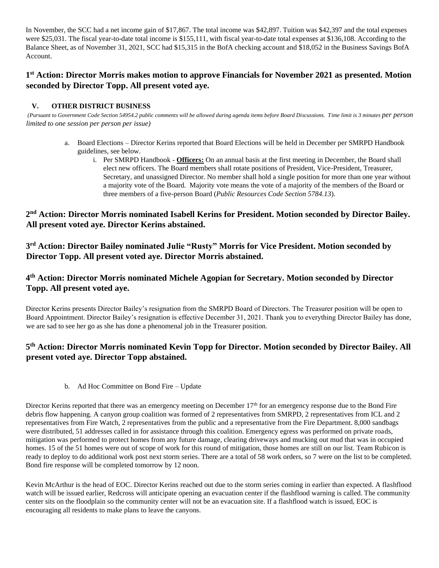In November, the SCC had a net income gain of \$17,867. The total income was \$42,897. Tuition was \$42,397 and the total expenses were \$25,031. The fiscal year-to-date total income is \$155,111, with fiscal year-to-date total expenses at \$136,108. According to the Balance Sheet, as of November 31, 2021, SCC had \$15,315 in the BofA checking account and \$18,052 in the Business Savings BofA Account.

# **1 st Action: Director Morris makes motion to approve Financials for November 2021 as presented. Motion seconded by Director Topp. All present voted aye.**

## **V. OTHER DISTRICT BUSINESS**

(Pursuant to Government Code Section 54954.2 public comments will be allowed during agenda items before Board Discussions. Time limit is 3 minutes *per person limited to one session per person per issue)*

- a. Board Elections Director Kerins reported that Board Elections will be held in December per SMRPD Handbook guidelines, see below.
	- i. Per SMRPD Handbook **Officers:** On an annual basis at the first meeting in December, the Board shall elect new officers. The Board members shall rotate positions of President, Vice-President, Treasurer, Secretary, and unassigned Director. No member shall hold a single position for more than one year without a majority vote of the Board. Majority vote means the vote of a majority of the members of the Board or three members of a five-person Board (*Public Resources Code Section 5784.13*).

**2 nd Action: Director Morris nominated Isabell Kerins for President. Motion seconded by Director Bailey. All present voted aye. Director Kerins abstained.** 

**3 rd Action: Director Bailey nominated Julie "Rusty" Morris for Vice President. Motion seconded by Director Topp. All present voted aye. Director Morris abstained.** 

# **4 th Action: Director Morris nominated Michele Agopian for Secretary. Motion seconded by Director Topp. All present voted aye.**

Director Kerins presents Director Bailey's resignation from the SMRPD Board of Directors. The Treasurer position will be open to Board Appointment. Director Bailey's resignation is effective December 31, 2021. Thank you to everything Director Bailey has done, we are sad to see her go as she has done a phenomenal job in the Treasurer position.

# **5 th Action: Director Morris nominated Kevin Topp for Director. Motion seconded by Director Bailey. All present voted aye. Director Topp abstained.**

b. Ad Hoc Committee on Bond Fire – Update

Director Kerins reported that there was an emergency meeting on December  $17<sup>th</sup>$  for an emergency response due to the Bond Fire debris flow happening. A canyon group coalition was formed of 2 representatives from SMRPD, 2 representatives from ICL and 2 representatives from Fire Watch, 2 representatives from the public and a representative from the Fire Department. 8,000 sandbags were distributed, 51 addresses called in for assistance through this coalition. Emergency egress was performed on private roads, mitigation was performed to protect homes from any future damage, clearing driveways and mucking out mud that was in occupied homes. 15 of the 51 homes were out of scope of work for this round of mitigation, those homes are still on our list. Team Rubicon is ready to deploy to do additional work post next storm series. There are a total of 58 work orders, so 7 were on the list to be completed. Bond fire response will be completed tomorrow by 12 noon.

Kevin McArthur is the head of EOC. Director Kerins reached out due to the storm series coming in earlier than expected. A flashflood watch will be issued earlier, Redcross will anticipate opening an evacuation center if the flashflood warning is called. The community center sits on the floodplain so the community center will not be an evacuation site. If a flashflood watch is issued, EOC is encouraging all residents to make plans to leave the canyons.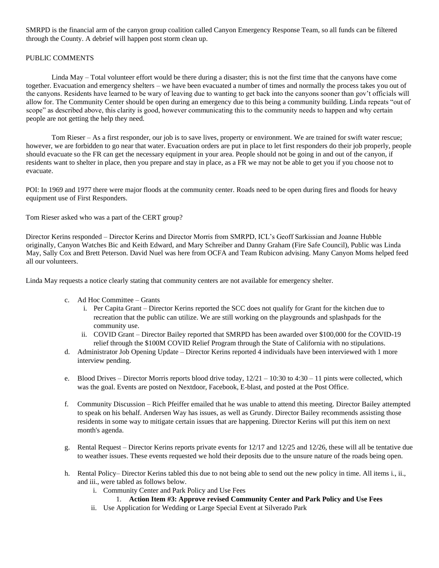SMRPD is the financial arm of the canyon group coalition called Canyon Emergency Response Team, so all funds can be filtered through the County. A debrief will happen post storm clean up.

#### PUBLIC COMMENTS

Linda May – Total volunteer effort would be there during a disaster; this is not the first time that the canyons have come together. Evacuation and emergency shelters – we have been evacuated a number of times and normally the process takes you out of the canyons. Residents have learned to be wary of leaving due to wanting to get back into the canyons sooner than gov't officials will allow for. The Community Center should be open during an emergency due to this being a community building. Linda repeats "out of scope" as described above, this clarity is good, however communicating this to the community needs to happen and why certain people are not getting the help they need.

Tom Rieser – As a first responder, our job is to save lives, property or environment. We are trained for swift water rescue; however, we are forbidden to go near that water. Evacuation orders are put in place to let first responders do their job properly, people should evacuate so the FR can get the necessary equipment in your area. People should not be going in and out of the canyon, if residents want to shelter in place, then you prepare and stay in place, as a FR we may not be able to get you if you choose not to evacuate.

POI: In 1969 and 1977 there were major floods at the community center. Roads need to be open during fires and floods for heavy equipment use of First Responders.

Tom Rieser asked who was a part of the CERT group?

Director Kerins responded – Director Kerins and Director Morris from SMRPD, ICL's Geoff Sarkissian and Joanne Hubble originally, Canyon Watches Bic and Keith Edward, and Mary Schreiber and Danny Graham (Fire Safe Council), Public was Linda May, Sally Cox and Brett Peterson. David Nuel was here from OCFA and Team Rubicon advising. Many Canyon Moms helped feed all our volunteers.

Linda May requests a notice clearly stating that community centers are not available for emergency shelter.

- c. Ad Hoc Committee Grants
	- i. Per Capita Grant Director Kerins reported the SCC does not qualify for Grant for the kitchen due to recreation that the public can utilize. We are still working on the playgrounds and splashpads for the community use.
	- ii. COVID Grant Director Bailey reported that SMRPD has been awarded over \$100,000 for the COVID-19 relief through the \$100M COVID Relief Program through the State of California with no stipulations.
- d. Administrator Job Opening Update Director Kerins reported 4 individuals have been interviewed with 1 more interview pending.
- e. Blood Drives Director Morris reports blood drive today,  $12/21 10:30$  to  $4:30 11$  pints were collected, which was the goal. Events are posted on Nextdoor, Facebook, E-blast, and posted at the Post Office.
- f. Community Discussion Rich Pfeiffer emailed that he was unable to attend this meeting. Director Bailey attempted to speak on his behalf. Andersen Way has issues, as well as Grundy. Director Bailey recommends assisting those residents in some way to mitigate certain issues that are happening. Director Kerins will put this item on next month's agenda.
- g. Rental Request Director Kerins reports private events for 12/17 and 12/25 and 12/26, these will all be tentative due to weather issues. These events requested we hold their deposits due to the unsure nature of the roads being open.
- h. Rental Policy– Director Kerins tabled this due to not being able to send out the new policy in time. All items i., ii., and iii., were tabled as follows below.
	- i. Community Center and Park Policy and Use Fees

### 1. **Action Item #3: Approve revised Community Center and Park Policy and Use Fees**

ii. Use Application for Wedding or Large Special Event at Silverado Park